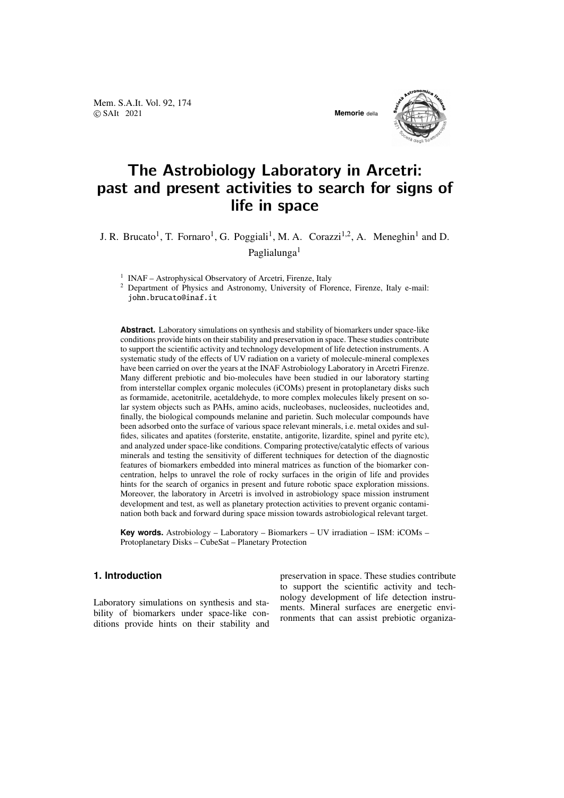Mem. S.A.It. Vol. 92, 174 © SAIt 2021 **Memorie** della



# The Astrobiology Laboratory in Arcetri: past and present activities to search for signs of life in space

J. R. Brucato<sup>1</sup>, T. Fornaro<sup>1</sup>, G. Poggiali<sup>1</sup>, M. A. Corazzi<sup>1,2</sup>, A. Meneghin<sup>1</sup> and D. Paglialunga<sup>1</sup>

<sup>1</sup> INAF – Astrophysical Observatory of Arcetri, Firenze, Italy

<sup>2</sup> Department of Physics and Astronomy, University of Florence, Firenze, Italy e-mail: john.brucato@inaf.it

**Abstract.** Laboratory simulations on synthesis and stability of biomarkers under space-like conditions provide hints on their stability and preservation in space. These studies contribute to support the scientific activity and technology development of life detection instruments. A systematic study of the effects of UV radiation on a variety of molecule-mineral complexes have been carried on over the years at the INAF Astrobiology Laboratory in Arcetri Firenze. Many different prebiotic and bio-molecules have been studied in our laboratory starting from interstellar complex organic molecules (iCOMs) present in protoplanetary disks such as formamide, acetonitrile, acetaldehyde, to more complex molecules likely present on solar system objects such as PAHs, amino acids, nucleobases, nucleosides, nucleotides and, finally, the biological compounds melanine and parietin. Such molecular compounds have been adsorbed onto the surface of various space relevant minerals, i.e. metal oxides and sulfides, silicates and apatites (forsterite, enstatite, antigorite, lizardite, spinel and pyrite etc), and analyzed under space-like conditions. Comparing protective/catalytic effects of various minerals and testing the sensitivity of different techniques for detection of the diagnostic features of biomarkers embedded into mineral matrices as function of the biomarker concentration, helps to unravel the role of rocky surfaces in the origin of life and provides hints for the search of organics in present and future robotic space exploration missions. Moreover, the laboratory in Arcetri is involved in astrobiology space mission instrument development and test, as well as planetary protection activities to prevent organic contamination both back and forward during space mission towards astrobiological relevant target.

**Key words.** Astrobiology – Laboratory – Biomarkers – UV irradiation – ISM: iCOMs – Protoplanetary Disks – CubeSat – Planetary Protection

## **1. Introduction**

Laboratory simulations on synthesis and stability of biomarkers under space-like conditions provide hints on their stability and preservation in space. These studies contribute to support the scientific activity and technology development of life detection instruments. Mineral surfaces are energetic environments that can assist prebiotic organiza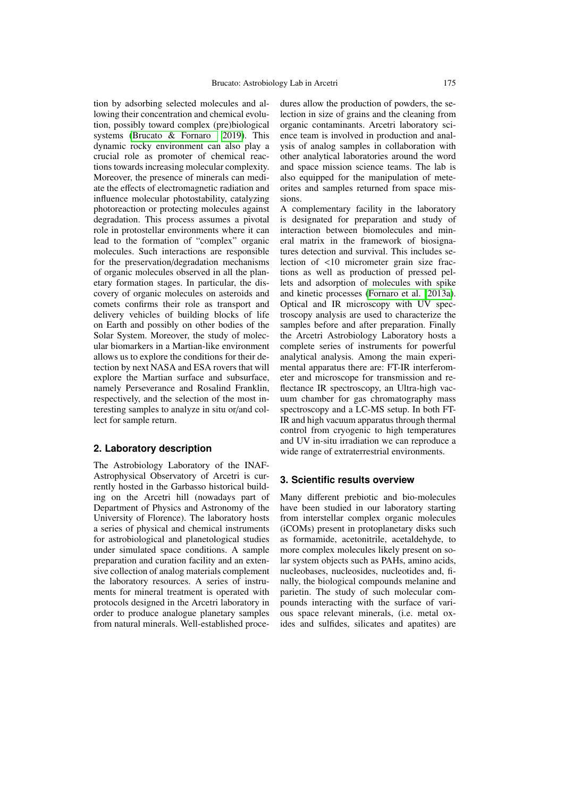tion by adsorbing selected molecules and allowing their concentration and chemical evolution, possibly toward complex (pre)biological systems [\(Brucato & Fornaro 2019\)](#page-4-0). This dynamic rocky environment can also play a crucial role as promoter of chemical reactions towards increasing molecular complexity. Moreover, the presence of minerals can mediate the effects of electromagnetic radiation and influence molecular photostability, catalyzing photoreaction or protecting molecules against degradation. This process assumes a pivotal role in protostellar environments where it can lead to the formation of "complex" organic molecules. Such interactions are responsible for the preservation/degradation mechanisms of organic molecules observed in all the planetary formation stages. In particular, the discovery of organic molecules on asteroids and comets confirms their role as transport and delivery vehicles of building blocks of life on Earth and possibly on other bodies of the Solar System. Moreover, the study of molecular biomarkers in a Martian-like environment allows us to explore the conditions for their detection by next NASA and ESA rovers that will explore the Martian surface and subsurface, namely Perseverance and Rosalind Franklin, respectively, and the selection of the most interesting samples to analyze in situ or/and collect for sample return.

#### **2. Laboratory description**

The Astrobiology Laboratory of the INAF-Astrophysical Observatory of Arcetri is currently hosted in the Garbasso historical building on the Arcetri hill (nowadays part of Department of Physics and Astronomy of the University of Florence). The laboratory hosts a series of physical and chemical instruments for astrobiological and planetological studies under simulated space conditions. A sample preparation and curation facility and an extensive collection of analog materials complement the laboratory resources. A series of instruments for mineral treatment is operated with protocols designed in the Arcetri laboratory in order to produce analogue planetary samples from natural minerals. Well-established procedures allow the production of powders, the selection in size of grains and the cleaning from organic contaminants. Arcetri laboratory science team is involved in production and analysis of analog samples in collaboration with other analytical laboratories around the word and space mission science teams. The lab is also equipped for the manipulation of meteorites and samples returned from space missions.

A complementary facility in the laboratory is designated for preparation and study of interaction between biomolecules and mineral matrix in the framework of biosignatures detection and survival. This includes selection of <10 micrometer grain size fractions as well as production of pressed pellets and adsorption of molecules with spike and kinetic processes [\(Fornaro et al. 2013a\)](#page-4-1). Optical and IR microscopy with UV spectroscopy analysis are used to characterize the samples before and after preparation. Finally the Arcetri Astrobiology Laboratory hosts a complete series of instruments for powerful analytical analysis. Among the main experimental apparatus there are: FT-IR interferometer and microscope for transmission and reflectance IR spectroscopy, an Ultra-high vacuum chamber for gas chromatography mass spectroscopy and a LC-MS setup. In both FT-IR and high vacuum apparatus through thermal control from cryogenic to high temperatures and UV in-situ irradiation we can reproduce a wide range of extraterrestrial environments.

### **3. Scientific results overview**

Many different prebiotic and bio-molecules have been studied in our laboratory starting from interstellar complex organic molecules (iCOMs) present in protoplanetary disks such as formamide, acetonitrile, acetaldehyde, to more complex molecules likely present on solar system objects such as PAHs, amino acids, nucleobases, nucleosides, nucleotides and, finally, the biological compounds melanine and parietin. The study of such molecular compounds interacting with the surface of various space relevant minerals, (i.e. metal oxides and sulfides, silicates and apatites) are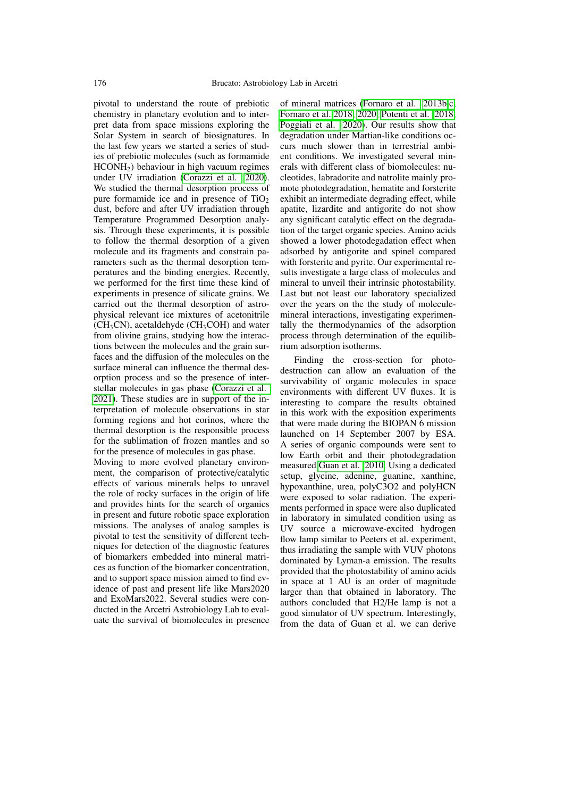pivotal to understand the route of prebiotic chemistry in planetary evolution and to interpret data from space missions exploring the Solar System in search of biosignatures. In the last few years we started a series of studies of prebiotic molecules (such as formamide  $HCONH<sub>2</sub>$ ) behaviour in high vacuum regimes under UV irradiation [\(Corazzi et al. 2020\)](#page-4-2). We studied the thermal desorption process of pure formamide ice and in presence of  $TiO<sub>2</sub>$ dust, before and after UV irradiation through Temperature Programmed Desorption analysis. Through these experiments, it is possible to follow the thermal desorption of a given molecule and its fragments and constrain parameters such as the thermal desorption temperatures and the binding energies. Recently, we performed for the first time these kind of experiments in presence of silicate grains. We carried out the thermal desorption of astrophysical relevant ice mixtures of acetonitrile  $(CH<sub>3</sub>CN)$ , acetaldehyde (CH<sub>3</sub>COH) and water from olivine grains, studying how the interactions between the molecules and the grain surfaces and the diffusion of the molecules on the surface mineral can influence the thermal desorption process and so the presence of interstellar molecules in gas phase [\(Corazzi et al.](#page-4-3) [2021\)](#page-4-3). These studies are in support of the interpretation of molecule observations in star forming regions and hot corinos, where the thermal desorption is the responsible process for the sublimation of frozen mantles and so for the presence of molecules in gas phase. Moving to more evolved planetary environment, the comparison of protective/catalytic effects of various minerals helps to unravel the role of rocky surfaces in the origin of life

and provides hints for the search of organics in present and future robotic space exploration missions. The analyses of analog samples is pivotal to test the sensitivity of different techniques for detection of the diagnostic features of biomarkers embedded into mineral matrices as function of the biomarker concentration, and to support space mission aimed to find evidence of past and present life like Mars2020 and ExoMars2022. Several studies were conducted in the Arcetri Astrobiology Lab to evaluate the survival of biomolecules in presence of mineral matrices [\(Fornaro et al. 2013b](#page-4-4)[,c;](#page-4-5) [Fornaro et al. 2018,](#page-4-6) [2020;](#page-4-7) [Potenti et al. 2018;](#page-4-8) [Poggiali et al. 2020\)](#page-4-9). Our results show that degradation under Martian-like conditions occurs much slower than in terrestrial ambient conditions. We investigated several minerals with different class of biomolecules: nucleotides, labradorite and natrolite mainly promote photodegradation, hematite and forsterite exhibit an intermediate degrading effect, while apatite, lizardite and antigorite do not show any significant catalytic effect on the degradation of the target organic species. Amino acids showed a lower photodegadation effect when adsorbed by antigorite and spinel compared with forsterite and pyrite. Our experimental results investigate a large class of molecules and mineral to unveil their intrinsic photostability. Last but not least our laboratory specialized over the years on the the study of moleculemineral interactions, investigating experimentally the thermodynamics of the adsorption process through determination of the equilibrium adsorption isotherms.

Finding the cross-section for photodestruction can allow an evaluation of the survivability of organic molecules in space environments with different UV fluxes. It is interesting to compare the results obtained in this work with the exposition experiments that were made during the BIOPAN 6 mission launched on 14 September 2007 by ESA. A series of organic compounds were sent to low Earth orbit and their photodegradation measured [Guan et al. 2010.](#page-4-10) Using a dedicated setup, glycine, adenine, guanine, xanthine, hypoxanthine, urea, polyC3O2 and polyHCN were exposed to solar radiation. The experiments performed in space were also duplicated in laboratory in simulated condition using as UV source a microwave-excited hydrogen flow lamp similar to Peeters et al. experiment, thus irradiating the sample with VUV photons dominated by Lyman-a emission. The results provided that the photostability of amino acids in space at 1 AU is an order of magnitude larger than that obtained in laboratory. The authors concluded that H2/He lamp is not a good simulator of UV spectrum. Interestingly, from the data of Guan et al. we can derive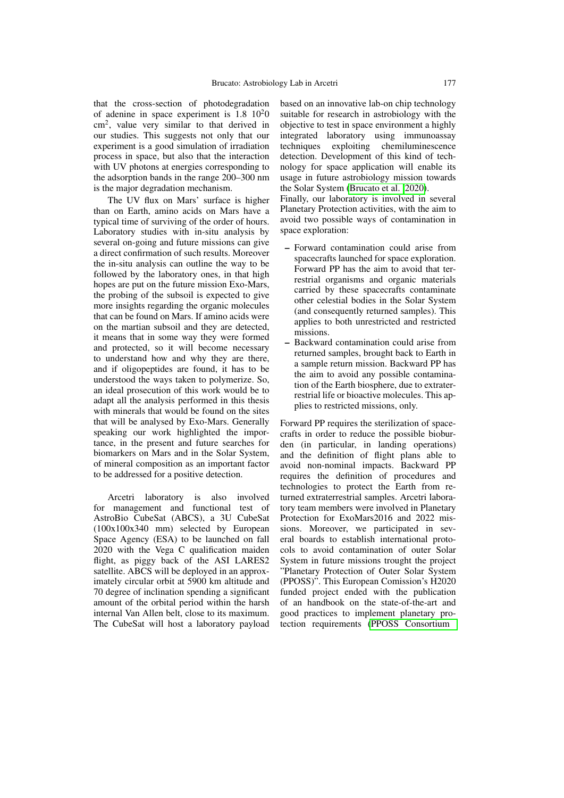that the cross-section of photodegradation of adenine in space experiment is  $1.8 \, 10^2$ cm<sup>2</sup> , value very similar to that derived in our studies. This suggests not only that our experiment is a good simulation of irradiation process in space, but also that the interaction with UV photons at energies corresponding to the adsorption bands in the range 200–300 nm is the major degradation mechanism.

The UV flux on Mars' surface is higher than on Earth, amino acids on Mars have a typical time of surviving of the order of hours. Laboratory studies with in-situ analysis by several on-going and future missions can give a direct confirmation of such results. Moreover the in-situ analysis can outline the way to be followed by the laboratory ones, in that high hopes are put on the future mission Exo-Mars, the probing of the subsoil is expected to give more insights regarding the organic molecules that can be found on Mars. If amino acids were on the martian subsoil and they are detected, it means that in some way they were formed and protected, so it will become necessary to understand how and why they are there, and if oligopeptides are found, it has to be understood the ways taken to polymerize. So, an ideal prosecution of this work would be to adapt all the analysis performed in this thesis with minerals that would be found on the sites that will be analysed by Exo-Mars. Generally speaking our work highlighted the importance, in the present and future searches for biomarkers on Mars and in the Solar System, of mineral composition as an important factor to be addressed for a positive detection.

Arcetri laboratory is also involved for management and functional test of AstroBio CubeSat (ABCS), a 3U CubeSat (100x100x340 mm) selected by European Space Agency (ESA) to be launched on fall 2020 with the Vega C qualification maiden flight, as piggy back of the ASI LARES2 satellite. ABCS will be deployed in an approximately circular orbit at 5900 km altitude and 70 degree of inclination spending a significant amount of the orbital period within the harsh internal Van Allen belt, close to its maximum. The CubeSat will host a laboratory payload based on an innovative lab-on chip technology suitable for research in astrobiology with the objective to test in space environment a highly integrated laboratory using immunoassay techniques exploiting chemiluminescence detection. Development of this kind of technology for space application will enable its usage in future astrobiology mission towards the Solar System [\(Brucato et al. 2020\)](#page-4-11).

Finally, our laboratory is involved in several Planetary Protection activities, with the aim to avoid two possible ways of contamination in space exploration:

- Forward contamination could arise from spacecrafts launched for space exploration. Forward PP has the aim to avoid that terrestrial organisms and organic materials carried by these spacecrafts contaminate other celestial bodies in the Solar System (and consequently returned samples). This applies to both unrestricted and restricted missions.
- Backward contamination could arise from returned samples, brought back to Earth in a sample return mission. Backward PP has the aim to avoid any possible contamination of the Earth biosphere, due to extraterrestrial life or bioactive molecules. This applies to restricted missions, only.

Forward PP requires the sterilization of spacecrafts in order to reduce the possible bioburden (in particular, in landing operations) and the definition of flight plans able to avoid non-nominal impacts. Backward PP requires the definition of procedures and technologies to protect the Earth from returned extraterrestrial samples. Arcetri laboratory team members were involved in Planetary Protection for ExoMars2016 and 2022 missions. Moreover, we participated in several boards to establish international protocols to avoid contamination of outer Solar System in future missions trought the project "Planetary Protection of Outer Solar System (PPOSS)". This European Comission's H2020 funded project ended with the publication of an handbook on the state-of-the-art and good practices to implement planetary protection requirements [\(PPOSS Consortium](#page-4-12)